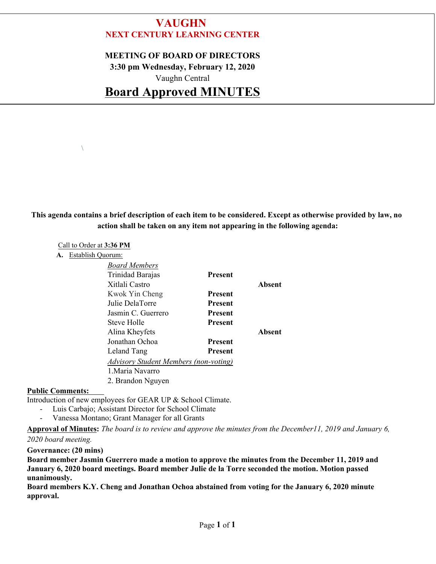# **VAUGHN NEXT CENTURY LEARNING CENTER**

#### **MEETING OF BOARD OF DIRECTORS**

**3:30 pm Wednesday, February 12, 2020**

Vaughn Central

# **Board Approved MINUTES**

## **This agenda contains a brief description of each item to be considered. Except as otherwise provided by law, no action shall be taken on any item not appearing in the following agenda:**

#### Call to Order at **3:36 PM**

 $\sqrt{2}$ 

**A.** Establish Quorum:

| <b>Board Members</b>                         |                |        |
|----------------------------------------------|----------------|--------|
| Trinidad Barajas                             | <b>Present</b> |        |
| Xitlali Castro                               |                | Absent |
| Kwok Yin Cheng                               | <b>Present</b> |        |
| Julie DelaTorre                              | <b>Present</b> |        |
| Jasmin C. Guerrero                           | <b>Present</b> |        |
| Steve Holle                                  | <b>Present</b> |        |
| Alina Kheyfets                               |                | Absent |
| Jonathan Ochoa                               | <b>Present</b> |        |
| Leland Tang                                  | <b>Present</b> |        |
| <b>Advisory Student Members (non-voting)</b> |                |        |
| 1. Maria Navarro                             |                |        |
| 2. Brandon Nguyen                            |                |        |

#### **Public Comments:**

Introduction of new employees for GEAR UP & School Climate. - Luis Carbajo; Assistant Director for School Climate

- 
- Vanessa Montano; Grant Manager for all Grants

**Approval of Minutes:** *The board is to review and approve the minutes from the December11, 2019 and January 6, 2020 board meeting.*

#### **Governance: (20 mins)**

**Board member Jasmin Guerrero made a motion to approve the minutes from the December 11, 2019 and January 6, 2020 board meetings. Board member Julie de la Torre seconded the motion. Motion passed unanimously.** 

**Board members K.Y. Cheng and Jonathan Ochoa abstained from voting for the January 6, 2020 minute approval.**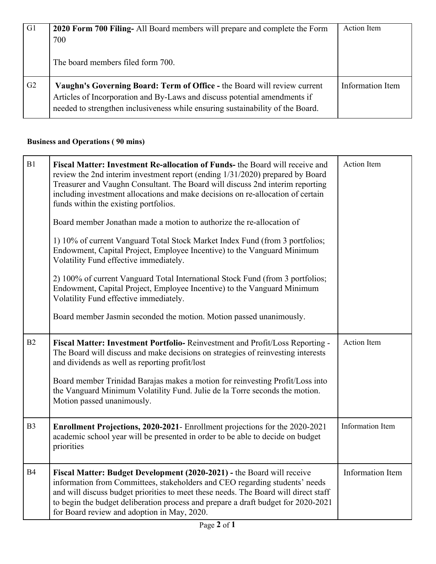| G1             | 2020 Form 700 Filing- All Board members will prepare and complete the Form<br>700<br>The board members filed form 700.                                                                                                                  | Action Item      |
|----------------|-----------------------------------------------------------------------------------------------------------------------------------------------------------------------------------------------------------------------------------------|------------------|
| G <sub>2</sub> | Vaughn's Governing Board: Term of Office - the Board will review current<br>Articles of Incorporation and By-Laws and discuss potential amendments if<br>needed to strengthen inclusiveness while ensuring sustainability of the Board. | Information Item |

# **Business and Operations ( 90 mins)**

| B1             | Fiscal Matter: Investment Re-allocation of Funds- the Board will receive and<br>review the 2nd interim investment report (ending 1/31/2020) prepared by Board<br>Treasurer and Vaughn Consultant. The Board will discuss 2nd interim reporting<br>including investment allocations and make decisions on re-allocation of certain<br>funds within the existing portfolios.                                                                                                                                                                               | <b>Action Item</b>      |
|----------------|----------------------------------------------------------------------------------------------------------------------------------------------------------------------------------------------------------------------------------------------------------------------------------------------------------------------------------------------------------------------------------------------------------------------------------------------------------------------------------------------------------------------------------------------------------|-------------------------|
|                | Board member Jonathan made a motion to authorize the re-allocation of<br>1) 10% of current Vanguard Total Stock Market Index Fund (from 3 portfolios;<br>Endowment, Capital Project, Employee Incentive) to the Vanguard Minimum<br>Volatility Fund effective immediately.<br>2) 100% of current Vanguard Total International Stock Fund (from 3 portfolios;<br>Endowment, Capital Project, Employee Incentive) to the Vanguard Minimum<br>Volatility Fund effective immediately.<br>Board member Jasmin seconded the motion. Motion passed unanimously. |                         |
| B2             | Fiscal Matter: Investment Portfolio-Reinvestment and Profit/Loss Reporting -<br>The Board will discuss and make decisions on strategies of reinvesting interests<br>and dividends as well as reporting profit/lost<br>Board member Trinidad Barajas makes a motion for reinvesting Profit/Loss into<br>the Vanguard Minimum Volatility Fund. Julie de la Torre seconds the motion.<br>Motion passed unanimously.                                                                                                                                         | Action Item             |
| B <sub>3</sub> | Enrollment Projections, 2020-2021- Enrollment projections for the 2020-2021<br>academic school year will be presented in order to be able to decide on budget<br>priorities                                                                                                                                                                                                                                                                                                                                                                              | <b>Information Item</b> |
| <b>B4</b>      | Fiscal Matter: Budget Development (2020-2021) - the Board will receive<br>information from Committees, stakeholders and CEO regarding students' needs<br>and will discuss budget priorities to meet these needs. The Board will direct staff<br>to begin the budget deliberation process and prepare a draft budget for 2020-2021<br>for Board review and adoption in May, 2020.                                                                                                                                                                         | Information Item        |